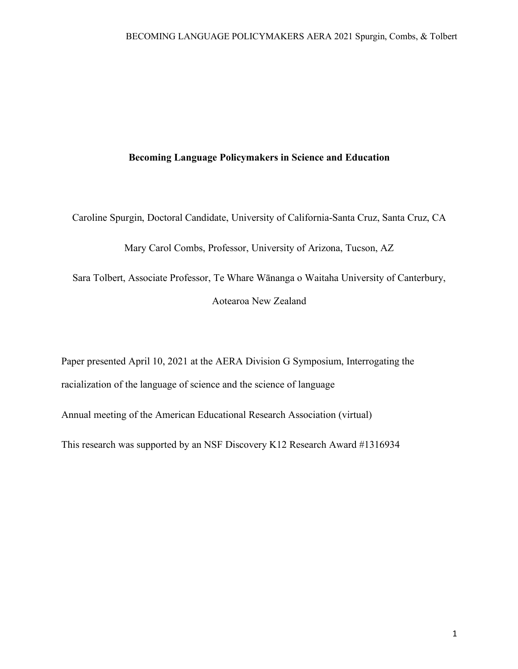# **Becoming Language Policymakers in Science and Education**

Caroline Spurgin, Doctoral Candidate, University of California-Santa Cruz, Santa Cruz, CA

Mary Carol Combs, Professor, University of Arizona, Tucson, AZ

Sara Tolbert, Associate Professor, Te Whare Wānanga o Waitaha University of Canterbury,

Aotearoa New Zealand

Paper presented April 10, 2021 at the AERA Division G Symposium, Interrogating the racialization of the language of science and the science of language

Annual meeting of the American Educational Research Association (virtual)

This research was supported by an NSF Discovery K12 Research Award #1316934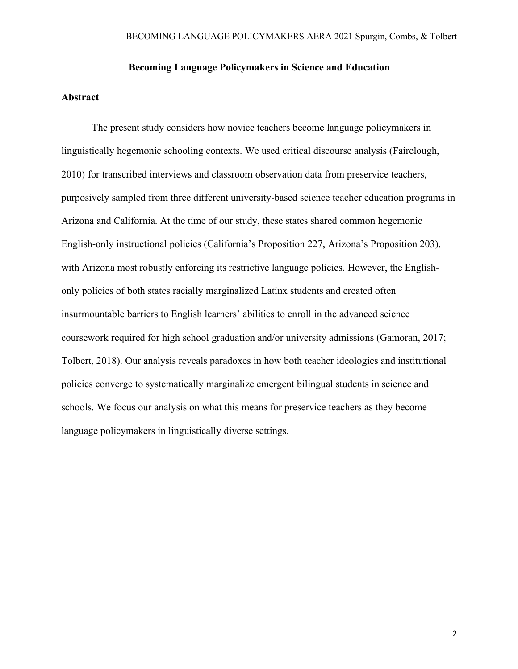### **Becoming Language Policymakers in Science and Education**

## **Abstract**

The present study considers how novice teachers become language policymakers in linguistically hegemonic schooling contexts. We used critical discourse analysis (Fairclough, 2010) for transcribed interviews and classroom observation data from preservice teachers, purposively sampled from three different university-based science teacher education programs in Arizona and California. At the time of our study, these states shared common hegemonic English-only instructional policies (California's Proposition 227, Arizona's Proposition 203), with Arizona most robustly enforcing its restrictive language policies. However, the Englishonly policies of both states racially marginalized Latinx students and created often insurmountable barriers to English learners' abilities to enroll in the advanced science coursework required for high school graduation and/or university admissions (Gamoran, 2017; Tolbert, 2018). Our analysis reveals paradoxes in how both teacher ideologies and institutional policies converge to systematically marginalize emergent bilingual students in science and schools. We focus our analysis on what this means for preservice teachers as they become language policymakers in linguistically diverse settings.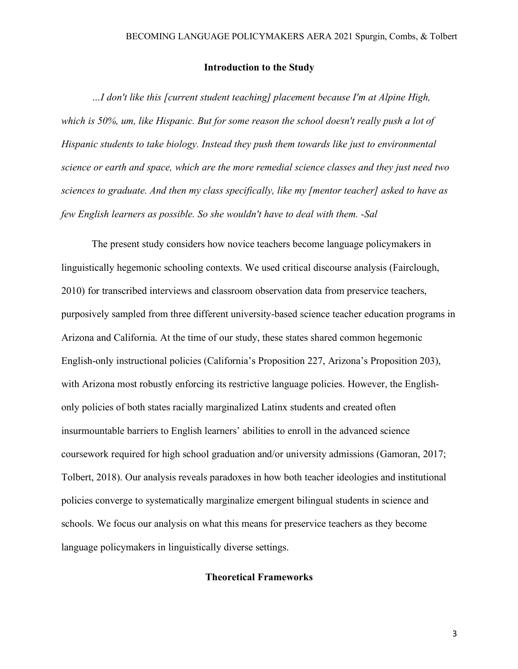## **Introduction to the Study**

*…I don't like this [current student teaching] placement because I'm at Alpine High, which is 50%, um, like Hispanic. But for some reason the school doesn't really push a lot of Hispanic students to take biology. Instead they push them towards like just to environmental science or earth and space, which are the more remedial science classes and they just need two sciences to graduate. And then my class specifically, like my [mentor teacher] asked to have as few English learners as possible. So she wouldn't have to deal with them. -Sal*

The present study considers how novice teachers become language policymakers in linguistically hegemonic schooling contexts. We used critical discourse analysis (Fairclough, 2010) for transcribed interviews and classroom observation data from preservice teachers, purposively sampled from three different university-based science teacher education programs in Arizona and California. At the time of our study, these states shared common hegemonic English-only instructional policies (California's Proposition 227, Arizona's Proposition 203), with Arizona most robustly enforcing its restrictive language policies. However, the Englishonly policies of both states racially marginalized Latinx students and created often insurmountable barriers to English learners' abilities to enroll in the advanced science coursework required for high school graduation and/or university admissions (Gamoran, 2017; Tolbert, 2018). Our analysis reveals paradoxes in how both teacher ideologies and institutional policies converge to systematically marginalize emergent bilingual students in science and schools. We focus our analysis on what this means for preservice teachers as they become language policymakers in linguistically diverse settings.

# **Theoretical Frameworks**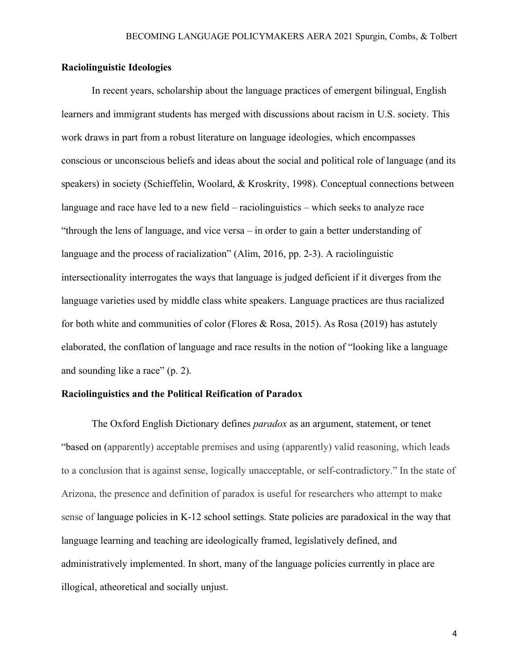# **Raciolinguistic Ideologies**

In recent years, scholarship about the language practices of emergent bilingual, English learners and immigrant students has merged with discussions about racism in U.S. society. This work draws in part from a robust literature on language ideologies, which encompasses conscious or unconscious beliefs and ideas about the social and political role of language (and its speakers) in society (Schieffelin, Woolard, & Kroskrity, 1998). Conceptual connections between language and race have led to a new field – raciolinguistics – which seeks to analyze race "through the lens of language, and vice versa – in order to gain a better understanding of language and the process of racialization" (Alim, 2016, pp. 2-3). A raciolinguistic intersectionality interrogates the ways that language is judged deficient if it diverges from the language varieties used by middle class white speakers. Language practices are thus racialized for both white and communities of color (Flores & Rosa, 2015). As Rosa (2019) has astutely elaborated, the conflation of language and race results in the notion of "looking like a language and sounding like a race" (p. 2).

## **Raciolinguistics and the Political Reification of Paradox**

The Oxford English Dictionary defines *paradox* as an argument, statement, or tenet "based on (apparently) acceptable premises and using (apparently) valid reasoning, which leads to a conclusion that is against sense, logically unacceptable, or self-contradictory." In the state of Arizona, the presence and definition of paradox is useful for researchers who attempt to make sense of language policies in K-12 school settings. State policies are paradoxical in the way that language learning and teaching are ideologically framed, legislatively defined, and administratively implemented. In short, many of the language policies currently in place are illogical, atheoretical and socially unjust.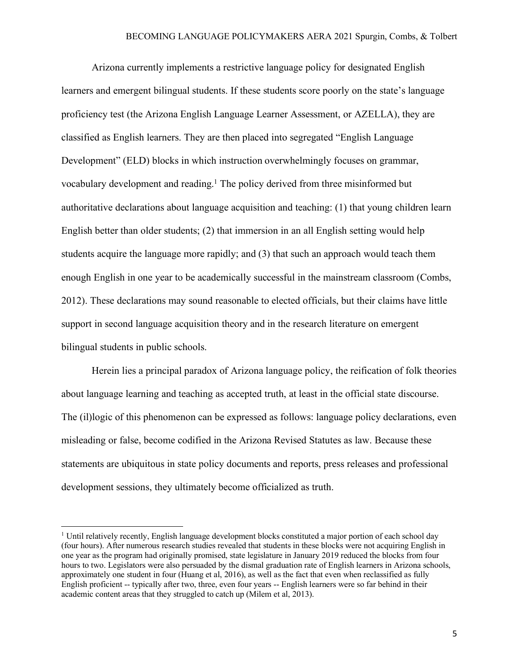Arizona currently implements a restrictive language policy for designated English learners and emergent bilingual students. If these students score poorly on the state's language proficiency test (the Arizona English Language Learner Assessment, or AZELLA), they are classified as English learners. They are then placed into segregated "English Language Development" (ELD) blocks in which instruction overwhelmingly focuses on grammar, vocabulary development and reading.1 The policy derived from three misinformed but authoritative declarations about language acquisition and teaching: (1) that young children learn English better than older students; (2) that immersion in an all English setting would help students acquire the language more rapidly; and (3) that such an approach would teach them enough English in one year to be academically successful in the mainstream classroom (Combs, 2012). These declarations may sound reasonable to elected officials, but their claims have little support in second language acquisition theory and in the research literature on emergent bilingual students in public schools.

Herein lies a principal paradox of Arizona language policy, the reification of folk theories about language learning and teaching as accepted truth, at least in the official state discourse. The (il)logic of this phenomenon can be expressed as follows: language policy declarations, even misleading or false, become codified in the Arizona Revised Statutes as law. Because these statements are ubiquitous in state policy documents and reports, press releases and professional development sessions, they ultimately become officialized as truth.

 $\overline{a}$ 

<sup>&</sup>lt;sup>1</sup> Until relatively recently, English language development blocks constituted a major portion of each school day (four hours). After numerous research studies revealed that students in these blocks were not acquiring English in one year as the program had originally promised, state legislature in January 2019 reduced the blocks from four hours to two. Legislators were also persuaded by the dismal graduation rate of English learners in Arizona schools, approximately one student in four (Huang et al, 2016), as well as the fact that even when reclassified as fully English proficient -- typically after two, three, even four years -- English learners were so far behind in their academic content areas that they struggled to catch up (Milem et al, 2013).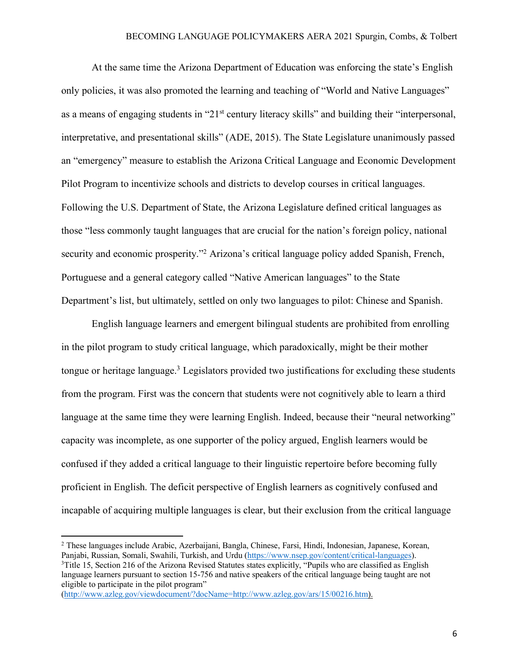At the same time the Arizona Department of Education was enforcing the state's English only policies, it was also promoted the learning and teaching of "World and Native Languages" as a means of engaging students in "21<sup>st</sup> century literacy skills" and building their "interpersonal, interpretative, and presentational skills" (ADE, 2015). The State Legislature unanimously passed an "emergency" measure to establish the Arizona Critical Language and Economic Development Pilot Program to incentivize schools and districts to develop courses in critical languages. Following the U.S. Department of State, the Arizona Legislature defined critical languages as those "less commonly taught languages that are crucial for the nation's foreign policy, national security and economic prosperity."<sup>2</sup> Arizona's critical language policy added Spanish, French, Portuguese and a general category called "Native American languages" to the State Department's list, but ultimately, settled on only two languages to pilot: Chinese and Spanish.

English language learners and emergent bilingual students are prohibited from enrolling in the pilot program to study critical language, which paradoxically, might be their mother tongue or heritage language.<sup>3</sup> Legislators provided two justifications for excluding these students from the program. First was the concern that students were not cognitively able to learn a third language at the same time they were learning English. Indeed, because their "neural networking" capacity was incomplete, as one supporter of the policy argued, English learners would be confused if they added a critical language to their linguistic repertoire before becoming fully proficient in English. The deficit perspective of English learners as cognitively confused and incapable of acquiring multiple languages is clear, but their exclusion from the critical language

 $\overline{\phantom{a}}$ 

<sup>2</sup> These languages include Arabic, Azerbaijani, Bangla, Chinese, Farsi, Hindi, Indonesian, Japanese, Korean, Panjabi, Russian, Somali, Swahili, Turkish, and Urdu (https://www.nsep.gov/content/critical-languages). <sup>3</sup>Title 15, Section 216 of the Arizona Revised Statutes states explicitly, "Pupils who are classified as English language learners pursuant to section 15-756 and native speakers of the critical language being taught are not eligible to participate in the pilot program"

<sup>(</sup>http://www.azleg.gov/viewdocument/?docName=http://www.azleg.gov/ars/15/00216.htm).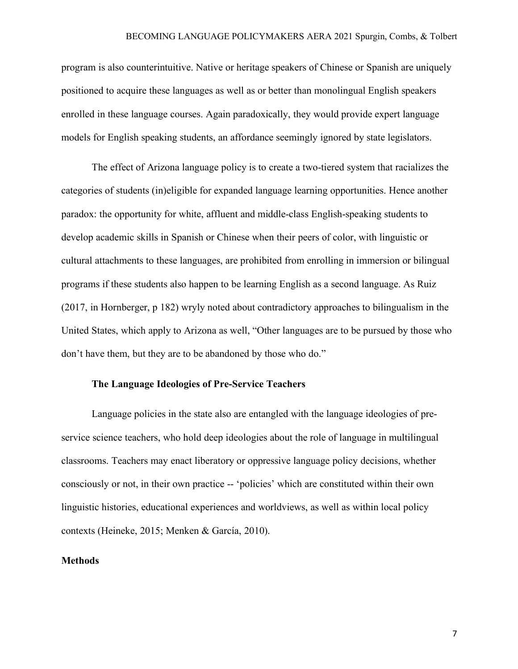program is also counterintuitive. Native or heritage speakers of Chinese or Spanish are uniquely positioned to acquire these languages as well as or better than monolingual English speakers enrolled in these language courses. Again paradoxically, they would provide expert language models for English speaking students, an affordance seemingly ignored by state legislators.

The effect of Arizona language policy is to create a two-tiered system that racializes the categories of students (in)eligible for expanded language learning opportunities. Hence another paradox: the opportunity for white, affluent and middle-class English-speaking students to develop academic skills in Spanish or Chinese when their peers of color, with linguistic or cultural attachments to these languages, are prohibited from enrolling in immersion or bilingual programs if these students also happen to be learning English as a second language. As Ruiz (2017, in Hornberger, p 182) wryly noted about contradictory approaches to bilingualism in the United States, which apply to Arizona as well, "Other languages are to be pursued by those who don't have them, but they are to be abandoned by those who do."

### **The Language Ideologies of Pre-Service Teachers**

Language policies in the state also are entangled with the language ideologies of preservice science teachers, who hold deep ideologies about the role of language in multilingual classrooms. Teachers may enact liberatory or oppressive language policy decisions, whether consciously or not, in their own practice -- 'policies' which are constituted within their own linguistic histories, educational experiences and worldviews, as well as within local policy contexts (Heineke, 2015; Menken & García, 2010).

### **Methods**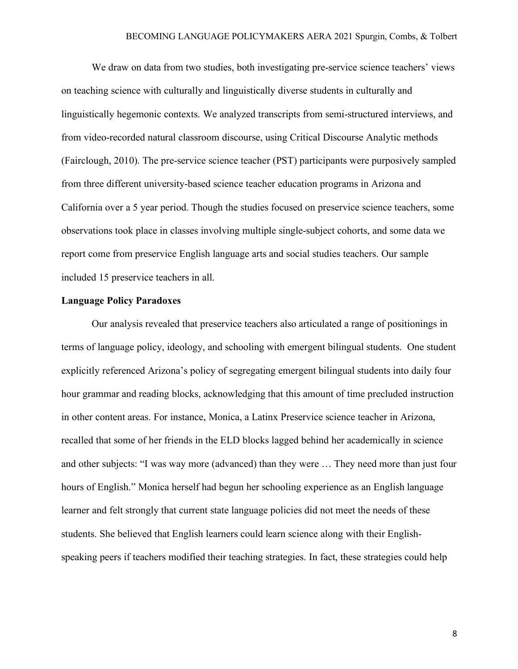We draw on data from two studies, both investigating pre-service science teachers' views on teaching science with culturally and linguistically diverse students in culturally and linguistically hegemonic contexts. We analyzed transcripts from semi-structured interviews, and from video-recorded natural classroom discourse, using Critical Discourse Analytic methods (Fairclough, 2010). The pre-service science teacher (PST) participants were purposively sampled from three different university-based science teacher education programs in Arizona and California over a 5 year period. Though the studies focused on preservice science teachers, some observations took place in classes involving multiple single-subject cohorts, and some data we report come from preservice English language arts and social studies teachers. Our sample included 15 preservice teachers in all.

### **Language Policy Paradoxes**

Our analysis revealed that preservice teachers also articulated a range of positionings in terms of language policy, ideology, and schooling with emergent bilingual students. One student explicitly referenced Arizona's policy of segregating emergent bilingual students into daily four hour grammar and reading blocks, acknowledging that this amount of time precluded instruction in other content areas. For instance, Monica, a Latinx Preservice science teacher in Arizona, recalled that some of her friends in the ELD blocks lagged behind her academically in science and other subjects: "I was way more (advanced) than they were … They need more than just four hours of English." Monica herself had begun her schooling experience as an English language learner and felt strongly that current state language policies did not meet the needs of these students. She believed that English learners could learn science along with their Englishspeaking peers if teachers modified their teaching strategies. In fact, these strategies could help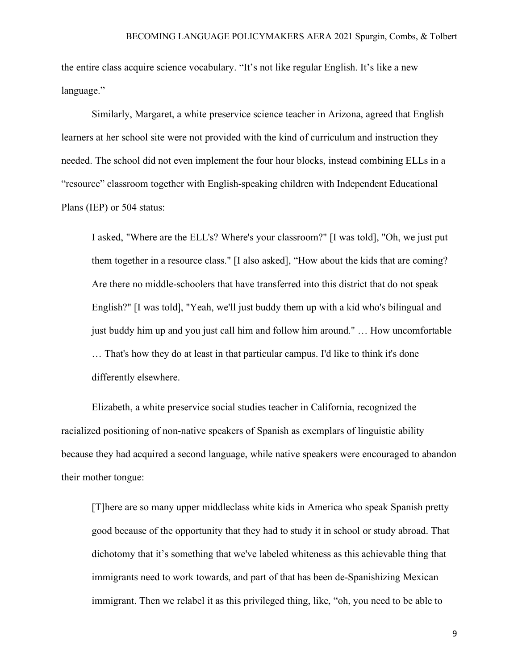the entire class acquire science vocabulary. "It's not like regular English. It's like a new language."

Similarly, Margaret, a white preservice science teacher in Arizona, agreed that English learners at her school site were not provided with the kind of curriculum and instruction they needed. The school did not even implement the four hour blocks, instead combining ELLs in a "resource" classroom together with English-speaking children with Independent Educational Plans (IEP) or 504 status:

I asked, "Where are the ELL's? Where's your classroom?" [I was told], "Oh, we just put them together in a resource class." [I also asked], "How about the kids that are coming? Are there no middle-schoolers that have transferred into this district that do not speak English?" [I was told], "Yeah, we'll just buddy them up with a kid who's bilingual and just buddy him up and you just call him and follow him around." … How uncomfortable … That's how they do at least in that particular campus. I'd like to think it's done differently elsewhere.

Elizabeth, a white preservice social studies teacher in California, recognized the racialized positioning of non-native speakers of Spanish as exemplars of linguistic ability because they had acquired a second language, while native speakers were encouraged to abandon their mother tongue:

[T]here are so many upper middleclass white kids in America who speak Spanish pretty good because of the opportunity that they had to study it in school or study abroad. That dichotomy that it's something that we've labeled whiteness as this achievable thing that immigrants need to work towards, and part of that has been de-Spanishizing Mexican immigrant. Then we relabel it as this privileged thing, like, "oh, you need to be able to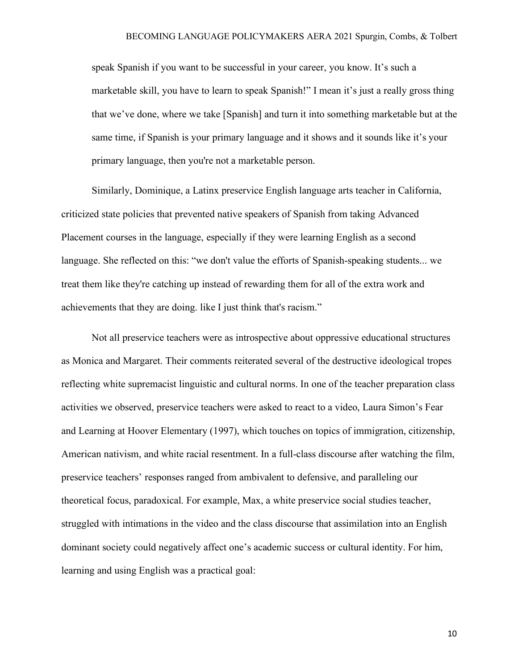speak Spanish if you want to be successful in your career, you know. It's such a marketable skill, you have to learn to speak Spanish!" I mean it's just a really gross thing that we've done, where we take [Spanish] and turn it into something marketable but at the same time, if Spanish is your primary language and it shows and it sounds like it's your primary language, then you're not a marketable person.

Similarly, Dominique, a Latinx preservice English language arts teacher in California, criticized state policies that prevented native speakers of Spanish from taking Advanced Placement courses in the language, especially if they were learning English as a second language. She reflected on this: "we don't value the efforts of Spanish-speaking students... we treat them like they're catching up instead of rewarding them for all of the extra work and achievements that they are doing. like I just think that's racism."

Not all preservice teachers were as introspective about oppressive educational structures as Monica and Margaret. Their comments reiterated several of the destructive ideological tropes reflecting white supremacist linguistic and cultural norms. In one of the teacher preparation class activities we observed, preservice teachers were asked to react to a video, Laura Simon's Fear and Learning at Hoover Elementary (1997), which touches on topics of immigration, citizenship, American nativism, and white racial resentment. In a full-class discourse after watching the film, preservice teachers' responses ranged from ambivalent to defensive, and paralleling our theoretical focus, paradoxical. For example, Max, a white preservice social studies teacher, struggled with intimations in the video and the class discourse that assimilation into an English dominant society could negatively affect one's academic success or cultural identity. For him, learning and using English was a practical goal: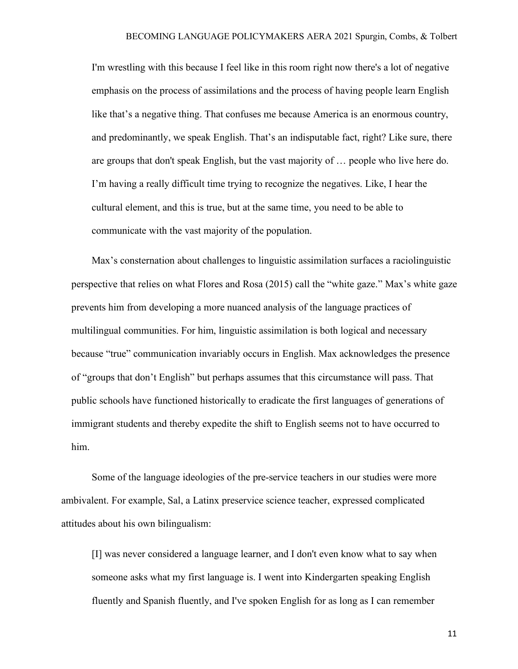I'm wrestling with this because I feel like in this room right now there's a lot of negative emphasis on the process of assimilations and the process of having people learn English like that's a negative thing. That confuses me because America is an enormous country, and predominantly, we speak English. That's an indisputable fact, right? Like sure, there are groups that don't speak English, but the vast majority of … people who live here do. I'm having a really difficult time trying to recognize the negatives. Like, I hear the cultural element, and this is true, but at the same time, you need to be able to communicate with the vast majority of the population.

Max's consternation about challenges to linguistic assimilation surfaces a raciolinguistic perspective that relies on what Flores and Rosa (2015) call the "white gaze." Max's white gaze prevents him from developing a more nuanced analysis of the language practices of multilingual communities. For him, linguistic assimilation is both logical and necessary because "true" communication invariably occurs in English. Max acknowledges the presence of "groups that don't English" but perhaps assumes that this circumstance will pass. That public schools have functioned historically to eradicate the first languages of generations of immigrant students and thereby expedite the shift to English seems not to have occurred to him.

Some of the language ideologies of the pre-service teachers in our studies were more ambivalent. For example, Sal, a Latinx preservice science teacher, expressed complicated attitudes about his own bilingualism:

[I] was never considered a language learner, and I don't even know what to say when someone asks what my first language is. I went into Kindergarten speaking English fluently and Spanish fluently, and I've spoken English for as long as I can remember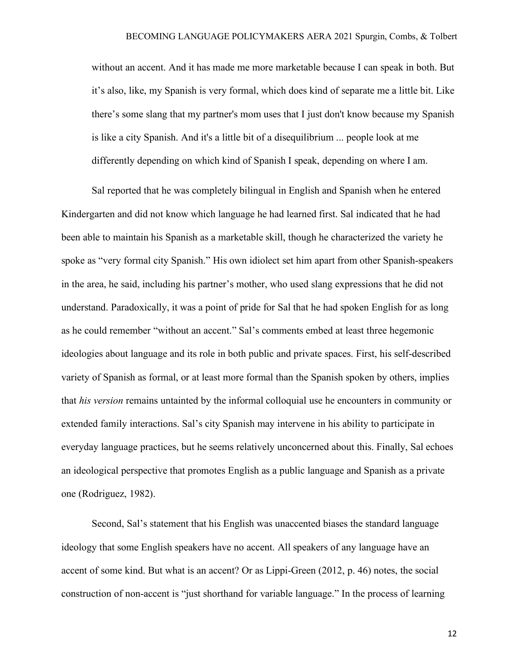without an accent. And it has made me more marketable because I can speak in both. But it's also, like, my Spanish is very formal, which does kind of separate me a little bit. Like there's some slang that my partner's mom uses that I just don't know because my Spanish is like a city Spanish. And it's a little bit of a disequilibrium ... people look at me differently depending on which kind of Spanish I speak, depending on where I am.

Sal reported that he was completely bilingual in English and Spanish when he entered Kindergarten and did not know which language he had learned first. Sal indicated that he had been able to maintain his Spanish as a marketable skill, though he characterized the variety he spoke as "very formal city Spanish." His own idiolect set him apart from other Spanish-speakers in the area, he said, including his partner's mother, who used slang expressions that he did not understand. Paradoxically, it was a point of pride for Sal that he had spoken English for as long as he could remember "without an accent." Sal's comments embed at least three hegemonic ideologies about language and its role in both public and private spaces. First, his self-described variety of Spanish as formal, or at least more formal than the Spanish spoken by others, implies that *his version* remains untainted by the informal colloquial use he encounters in community or extended family interactions. Sal's city Spanish may intervene in his ability to participate in everyday language practices, but he seems relatively unconcerned about this. Finally, Sal echoes an ideological perspective that promotes English as a public language and Spanish as a private one (Rodriguez, 1982).

Second, Sal's statement that his English was unaccented biases the standard language ideology that some English speakers have no accent. All speakers of any language have an accent of some kind. But what is an accent? Or as Lippi-Green (2012, p. 46) notes, the social construction of non-accent is "just shorthand for variable language." In the process of learning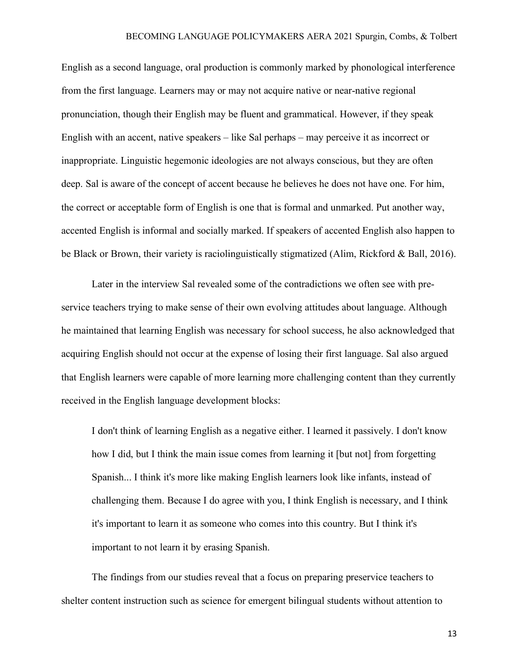English as a second language, oral production is commonly marked by phonological interference from the first language. Learners may or may not acquire native or near-native regional pronunciation, though their English may be fluent and grammatical. However, if they speak English with an accent, native speakers – like Sal perhaps – may perceive it as incorrect or inappropriate. Linguistic hegemonic ideologies are not always conscious, but they are often deep. Sal is aware of the concept of accent because he believes he does not have one. For him, the correct or acceptable form of English is one that is formal and unmarked. Put another way, accented English is informal and socially marked. If speakers of accented English also happen to be Black or Brown, their variety is raciolinguistically stigmatized (Alim, Rickford & Ball, 2016).

Later in the interview Sal revealed some of the contradictions we often see with preservice teachers trying to make sense of their own evolving attitudes about language. Although he maintained that learning English was necessary for school success, he also acknowledged that acquiring English should not occur at the expense of losing their first language. Sal also argued that English learners were capable of more learning more challenging content than they currently received in the English language development blocks:

I don't think of learning English as a negative either. I learned it passively. I don't know how I did, but I think the main issue comes from learning it [but not] from forgetting Spanish... I think it's more like making English learners look like infants, instead of challenging them. Because I do agree with you, I think English is necessary, and I think it's important to learn it as someone who comes into this country. But I think it's important to not learn it by erasing Spanish.

The findings from our studies reveal that a focus on preparing preservice teachers to shelter content instruction such as science for emergent bilingual students without attention to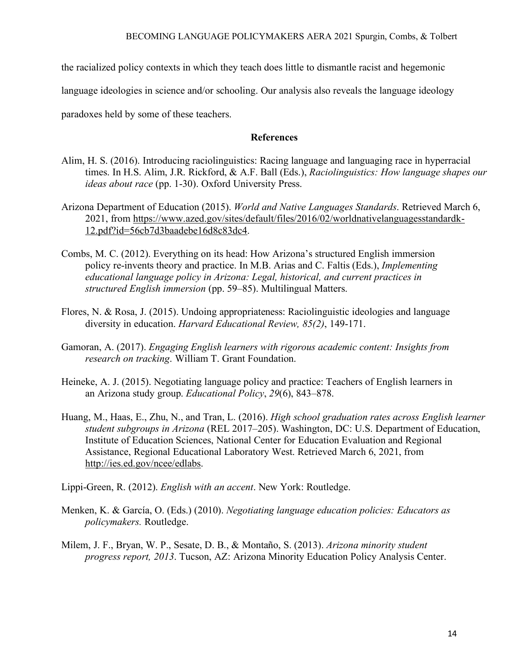the racialized policy contexts in which they teach does little to dismantle racist and hegemonic

language ideologies in science and/or schooling. Our analysis also reveals the language ideology

paradoxes held by some of these teachers.

# **References**

- Alim, H. S. (2016). Introducing raciolinguistics: Racing language and languaging race in hyperracial times. In H.S. Alim, J.R. Rickford, & A.F. Ball (Eds.), *Raciolinguistics: How language shapes our ideas about race* (pp. 1-30). Oxford University Press.
- Arizona Department of Education (2015). *World and Native Languages Standards*. Retrieved March 6, 2021, from https://www.azed.gov/sites/default/files/2016/02/worldnativelanguagesstandardk-12.pdf?id=56cb7d3baadebe16d8c83dc4.
- Combs, M. C. (2012). Everything on its head: How Arizona's structured English immersion policy re-invents theory and practice. In M.B. Arias and C. Faltis (Eds.), *Implementing educational language policy in Arizona: Legal, historical, and current practices in structured English immersion* (pp. 59–85). Multilingual Matters.
- Flores, N. & Rosa, J. (2015). Undoing appropriateness: Raciolinguistic ideologies and language diversity in education. *Harvard Educational Review, 85(2)*, 149-171.
- Gamoran, A. (2017). *Engaging English learners with rigorous academic content: Insights from research on tracking*. William T. Grant Foundation.
- Heineke, A. J. (2015). Negotiating language policy and practice: Teachers of English learners in an Arizona study group. *Educational Policy*, *29*(6), 843–878.
- Huang, M., Haas, E., Zhu, N., and Tran, L. (2016). *High school graduation rates across English learner student subgroups in Arizona* (REL 2017–205). Washington, DC: U.S. Department of Education, Institute of Education Sciences, National Center for Education Evaluation and Regional Assistance, Regional Educational Laboratory West. Retrieved March 6, 2021, from http://ies.ed.gov/ncee/edlabs.

Lippi-Green, R. (2012). *English with an accent*. New York: Routledge.

- Menken, K. & García, O. (Eds.) (2010). *Negotiating language education policies: Educators as policymakers.* Routledge.
- Milem, J. F., Bryan, W. P., Sesate, D. B., & Montaño, S. (2013). *Arizona minority student progress report, 2013*. Tucson, AZ: Arizona Minority Education Policy Analysis Center.